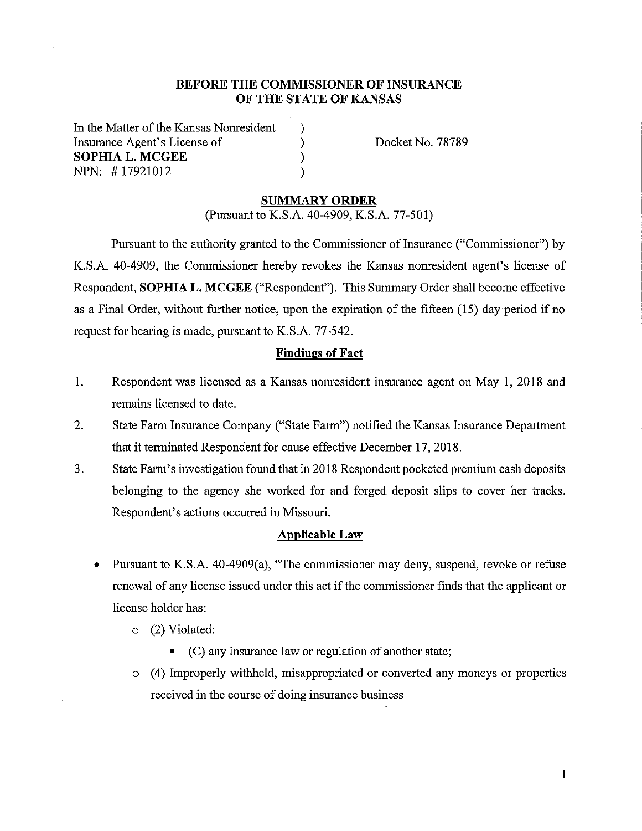## **BEFORE THE COMMISSIONER OF INSURANCE OF THE STATE OF KANSAS**

) ) ) )

In the Matter of the Kansas Nomesident Insurance Agent's License of **SOPHIA L. MCGEE**  NPN: # 17921012

Docket No. 78789

#### **SUMMARY ORDER**

(Pursuant to K.S.A. 40-4909, K.S.A. 77-501)

Pursuant to the authority granted to the Commissioner of Insurance ("Commissioner") by K.S.A. 40-4909, the Commissioner hereby revokes the Kansas nomesident agent's license of Respondent, **SOPHIA L. MCGEE** ("Respondent"). This Summary Order shall become effective as a Final Order, without further notice, upon the expiration of the fifteen (15) day period if no request for hearing is made, pursuant to K.S.A. 77-542.

#### **Findings of Fact**

- 1. Respondent was licensed as a Kansas nomesident insurance agent on May I, 2018 and remains licensed to date.
- 2. State Farm Insurance Company ("State Farm") notified the Kansas Insurance Department that it terminated Respondent for cause effective December 17, 2018.
- 3. State Farm's investigation found that in 2018 Respondent pocketed premium cash deposits belonging to the agency she worked for and forged deposit slips to cover her tracks. Respondent's actions occurred in Missouri.

#### **Applicable Law**

- Pursuant to K.S.A. 40-4909(a), "The commissioner may deny, suspend, revoke or refuse renewal of any license issued under this act if the commissioner finds that the applicant or license holder has:
	- o (2) Violated:
		- (C) any insurance law or regulation of another state;
	- o ( 4) Improperly withheld, misappropriated or converted any moneys or properties received in the course of doing insurance business

1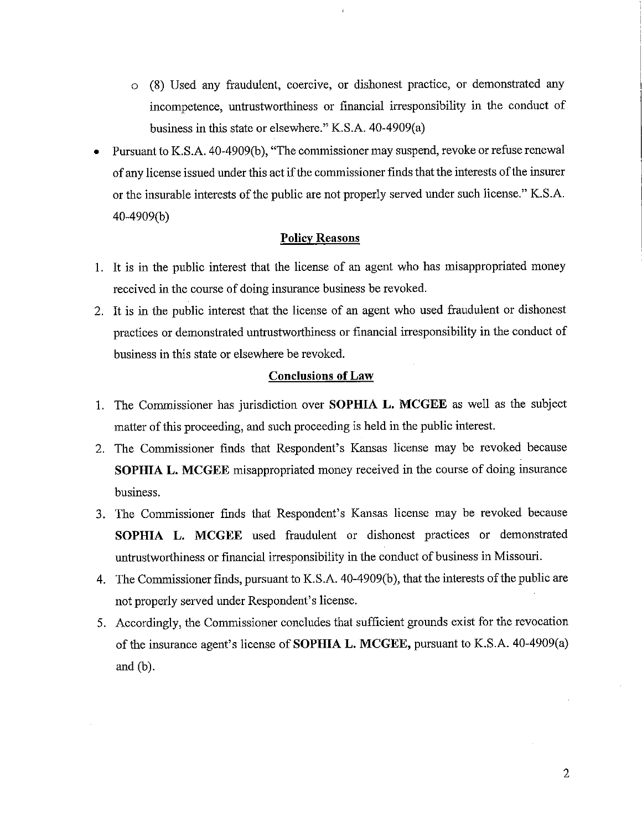- o (8) Used any fraudulent, coercive, or dishonest practice, or demonstrated any incompetence, untrustworthiness or financial irresponsibility in the conduct of business in this state or elsewhere." K.S.A. 40-4909(a)
- Pursuant to K.S.A. 40-4909(b), "The commissioner may suspend, revoke or refuse renewal of any license issued under this act if the commissioner finds that the interests of the insurer or the insurable interests of the public are not properly served under such license." K.S.A. 40-4909(b)

### **Policy Reasons**

- 1. It is in the public interest that the license of an agent who has misappropriated money received in the course of doing insurance business be revoked.
- 2. It is in the public interest that the license of an agent who used fraudulent or dishonest practices or demonstrated untrustworthiness or financial irresponsibility in the conduct of business in this state or elsewhere be revoked.

#### **Conclusions of Law**

- 1. The Commissioner has jurisdiction over **SOPHIA L. MCGEE** as well as the subject matter of this proceeding, and such proceeding is held in the public interest.
- 2. The Commissioner finds that Respondent's Kansas license may be revoked because **SOPHIA L. MCGEE** misappropriated money received in the course of doing insurance business.
- 3. The Commissioner finds that Respondent's Kansas license may be revoked because **SOPHIA L. MCGEE** used fraudulent or dishonest practices or demonstrated untrustworthiness or financial irresponsibility in the conduct of business in Missouri.
- 4. The Commissioner finds, pursuant to K.S.A. 40-4909(b ), that the interests of the public are not properly served under Respondent's license.
- 5. Accordingly, the Commissioner concludes that sufficient grounds exist for the revocation of the insurance agent's license of **SOPHIA L. MCGEE,** pursuant to K.S.A. 40-4909(a) and (b).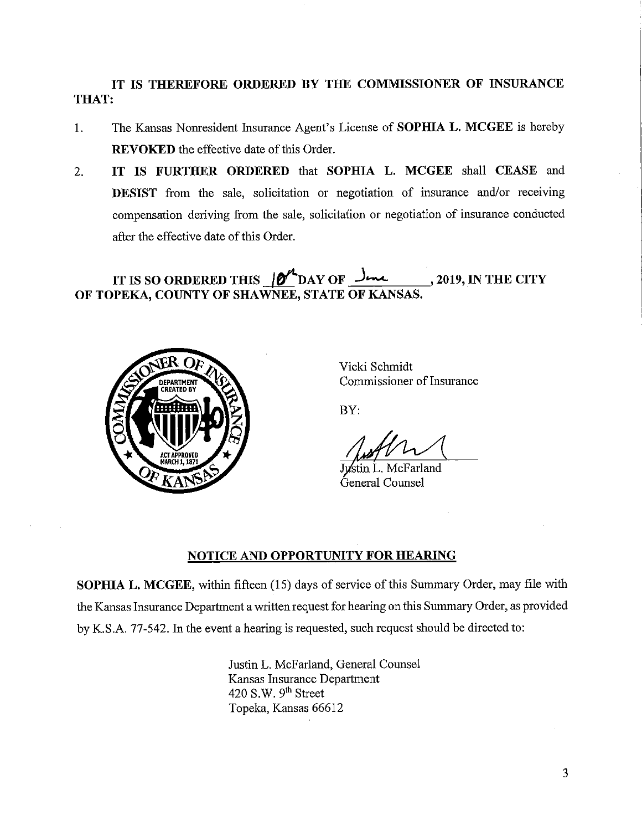# **IT IS THEREFORE ORDERED BY THE COMMISSIONER OF INSURANCE THAT:**

- 1. The Kansas Nomesident Insurance Agent's License of **SOPHIA L. MCGEE** is hereby **REVOKED** the effective date of this Order.
- 2. **IT IS FURTHER ORDERED** that **SOPHIA L. MCGEE** shall **CEASE** and **DESIST** from the sale, solicitation or negotiation of insurance and/or receiving compensation deriving from the sale, solicitation or negotiation of insurance conducted after the effective date of this Order.

# **IT IS SO ORDERED THIS**  $\frac{M}{2}$  **DAY OF**  $\frac{J_{\text{max}}}{M}$ **, 2019, IN THE CITY OF TOPEKA, COUNTY OF SHAWNEE, STATE OF KANSAS.**



Vicki Schmidt Commissioner of Insurance

BY:

stin L. McFarland General Counsel

## **NOTICE AND OPPORTUNITY FOR HEARING**

**SOPHIA L. MCGEE,** within fifteen (15) days of service of this Summary Order, may file with the Kansas Insurance Department a written request for hearing on this Summary Order, as provided by K.S.A. 77-542. In the event a hearing is requested, such request should be directed to:

> Justin L. McFarland, General Counsel Kansas Insurance Department 420 S.W.  $9<sup>th</sup>$  Street Topeka, Kansas 66612